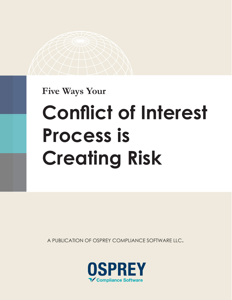**Five Ways Your**

# **Conflict of Interest Process is Creating Risk**

A PUBLICATION OF OSPREY COMPLIANCE SOFTWARE LLC.

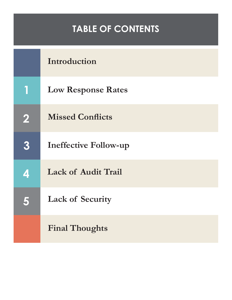#### **TABLE OF CONTENTS**

|   | Introduction                 |
|---|------------------------------|
|   | <b>Low Response Rates</b>    |
| 2 | <b>Missed Conflicts</b>      |
| 3 | <b>Ineffective Follow-up</b> |
| 4 | <b>Lack of Audit Trail</b>   |
| 5 | <b>Lack of Security</b>      |
|   | <b>Final Thoughts</b>        |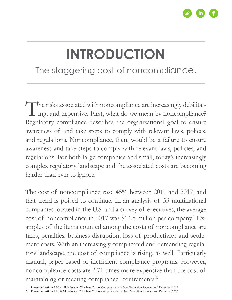

### **INTRODUCTION**

The staggering cost of noncompliance.

The risks associated with noncompliance are increasingly debilitating, and expensive. First, what do we mean by noncompliance? ing, and expensive. First, what do we mean by noncompliance? Regulatory compliance describes the organizational goal to ensure awareness of and take steps to comply with relevant laws, polices, and regulations. Noncompliance, then, would be a failure to ensure awareness and take steps to comply with relevant laws, policies, and regulations. For both large companies and small, today's increasingly complex regulatory landscape and the associated costs are becoming harder than ever to ignore.

The cost of noncompliance rose 45% between 2011 and 2017, and that trend is poised to continue. In an analysis of 53 multinational companies located in the U.S. and a survey of executives, the average cost of noncompliance in 2017 was \$14.8 million per company.<sup>1</sup> Examples of the items counted among the costs of noncompliance are fines, penalties, business disruption, loss of productivity, and settlement costs. With an increasingly complicated and demanding regulatory landscape, the cost of compliance is rising, as well. Particularly manual, paper-based or inefficient compliance programs. However, noncompliance costs are 2.71 times more expensive than the cost of maintaining or meeting compliance requirements.<sup>2</sup>

<sup>1.</sup> Ponemon Institute LLC & Globalscape, "The True Cost of Compliance with Data Protection Regulations", December 2017

<sup>2.</sup> Ponemon Institute LLC & Globalscape, "The True Cost of Compliance with Data Protection Regulations", December 2017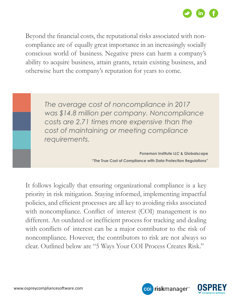

Beyond the financial costs, the reputational risks associated with noncompliance are of equally great importance in an increasingly socially conscious world of business. Negative press can harm a company's ability to acquire business, attain grants, retain existing business, and otherwise hurt the company's reputation for years to come.

> *The average cost of noncompliance in 2017 was \$14.8 million per company. Noncompliance costs are 2.71 times more expensive than the cost of maintaining or meeting compliance requirements.*

> > **Ponemon Institute LLC & Globalscape "The True Cost of Compliance with Data Protection Regulations"**

> > > coi riskmanager<sup>™</sup>

It follows logically that ensuring organizational compliance is a key priority in risk mitigation. Staying informed, implementing impactful policies, and efficient processes are all key to avoiding risks associated with noncompliance. Conflict of interest (COI) management is no different. An outdated or inefficient process for tracking and dealing with conflicts of interest can be a major contributor to the risk of noncompliance. However, the contributors to risk are not always so clear. Outlined below are "5 Ways Your COI Process Creates Risk."

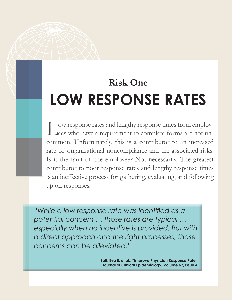#### **Risk One LOW RESPONSE RATES**

Low response rates and lengthy response times from employ-<br>Lees who have a requirement to complete forms are not unees who have a requirement to complete forms are not uncommon. Unfortunately, this is a contributor to an increased rate of organizational noncompliance and the associated risks. Is it the fault of the employee? Not necessarily. The greatest contributor to poor response rates and lengthy response times is an ineffective process for gathering, evaluating, and following up on responses.

*"While a low response rate was identified as a potential concern … those rates are typical … especially when no incentive is provided. But with a direct approach and the right processes, those concerns can be alleviated."*

> **Bolt, Eva E. et al., "Improve Physician Response Rate" Journal of Clinical Epidemiology, Volume 67, Issue 4**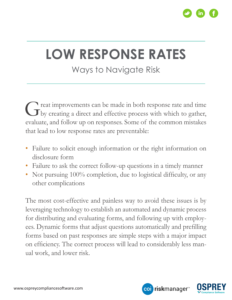

#### **LOW RESPONSE RATES**

#### Ways to Navigate Risk

Great improvements can be made in both response rate and time<br>by creating a direct and effective process with which to gather, by creating a direct and effective process with which to gather, evaluate, and follow up on responses. Some of the common mistakes that lead to low response rates are preventable:

- Failure to solicit enough information or the right information on disclosure form
- Failure to ask the correct follow-up questions in a timely manner
- Not pursuing 100% completion, due to logistical difficulty, or any other complications

The most cost-effective and painless way to avoid these issues is by leveraging technology to establish an automated and dynamic process for distributing and evaluating forms, and following up with employees. Dynamic forms that adjust questions automatically and prefilling forms based on past responses are simple steps with a major impact on efficiency. The correct process will lead to considerably less manual work, and lower risk.



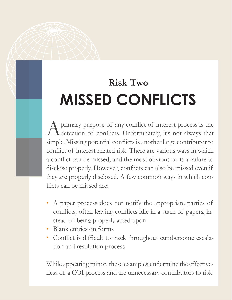### **Risk Two MISSED CONFLICTS**

A primary purpose of any conflict of interest process is the detection of conflicts. Unfortunately, it's not always that detection of conflicts. Unfortunately, it's not always that simple. Missing potential conflicts is another large contributor to conflict of interest related risk. There are various ways in which a conflict can be missed, and the most obvious of is a failure to disclose properly. However, conflicts can also be missed even if they are properly disclosed. A few common ways in which conflicts can be missed are:

- A paper process does not notify the appropriate parties of conflicts, often leaving conflicts idle in a stack of papers, instead of being properly acted upon
- Blank entries on forms
- Conflict is difficult to track throughout cumbersome escalation and resolution process

While appearing minor, these examples undermine the effectiveness of a COI process and are unnecessary contributors to risk.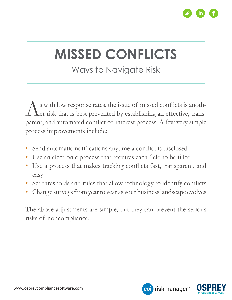

### **MISSED CONFLICTS**

#### Ways to Navigate Risk

As with low response rates, the issue of missed conflicts is another risk that is best prevented by establishing an effective, transer risk that is best prevented by establishing an effective, transparent, and automated conflict of interest process. A few very simple process improvements include:

- Send automatic notifications anytime a conflict is disclosed
- Use an electronic process that requires each field to be filled
- Use a process that makes tracking conflicts fast, transparent, and easy
- Set thresholds and rules that allow technology to identify conflicts
- Change surveys from year to year as your business landscape evolves

The above adjustments are simple, but they can prevent the serious risks of noncompliance.

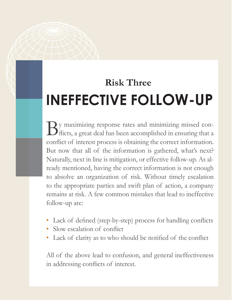### **Risk Three INEFFECTIVE FOLLOW-UP**

By maximizing response rates and minimizing missed con-<br>flicts, a great deal has been accomplished in ensuring that a flicts, a great deal has been accomplished in ensuring that a conflict of interest process is obtaining the correct information. But now that all of the information is gathered, what's next? Naturally, next in line is mitigation, or effective follow-up. As already mentioned, having the correct information is not enough to absolve an organization of risk. Without timely escalation to the appropriate parties and swift plan of action, a company remains at risk. A few common mistakes that lead to ineffective follow-up are:

- Lack of defined (step-by-step) process for handling conflicts
- Slow escalation of conflict
- Lack of clarity as to who should be notified of the conflict

All of the above lead to confusion, and general ineffectiveness in addressing conflicts of interest.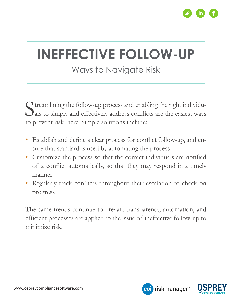

### **INEFFECTIVE FOLLOW-UP**

#### Ways to Navigate Risk

Streamlining the follow-up process and enabling the right individuals to simply and effectively address conflicts are the easiest ways als to simply and effectively address conflicts are the easiest ways to prevent risk, here. Simple solutions include:

- Establish and define a clear process for conflict follow-up, and ensure that standard is used by automating the process
- Customize the process so that the correct individuals are notified of a conflict automatically, so that they may respond in a timely manner
- Regularly track conflicts throughout their escalation to check on progress

The same trends continue to prevail: transparency, automation, and efficient processes are applied to the issue of ineffective follow-up to minimize risk.

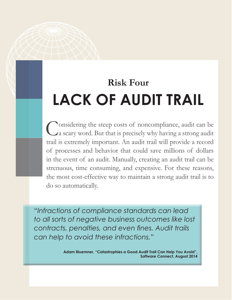### **Risk Four LACK OF AUDIT TRAIL**

Considering the steep costs of noncompliance, audit can be a scary word. But that is precisely why having a strong audit a scary word. But that is precisely why having a strong audit trail is extremely important. An audit trail will provide a record of processes and behavior that could save millions of dollars in the event of an audit. Manually, creating an audit trail can be strenuous, time consuming, and expensive. For these reasons, the most cost-effective way to maintain a strong audit trail is to do so automatically.

*"Infractions of compliance standards can lead to all sorts of negative business outcomes like lost contracts, penalties, and even fines. Audit trails can help to avoid these infractions."*

> **Adam Bluemner, "Catastrophies a Good Audit Trail Can Help You Avoid", Software Connect, August 2014**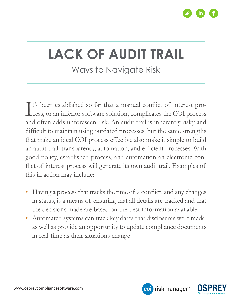

# **LACK OF AUDIT TRAIL**

Ways to Navigate Risk

It's been established so far that a manual conflict of interest process, or an inferior software solution, complicates the COI process cess, or an inferior software solution, complicates the COI process and often adds unforeseen risk. An audit trail is inherently risky and difficult to maintain using outdated processes, but the same strengths that make an ideal COI process effective also make it simple to build an audit trail: transparency, automation, and efficient processes. With good policy, established process, and automation an electronic conflict of interest process will generate its own audit trail. Examples of this in action may include:

- Having a process that tracks the time of a conflict, and any changes in status, is a means of ensuring that all details are tracked and that the decisions made are based on the best information available.
- Automated systems can track key dates that disclosures were made, as well as provide an opportunity to update compliance documents in real-time as their situations change

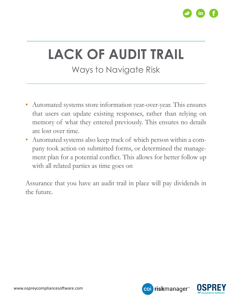

# **LACK OF AUDIT TRAIL**

#### Ways to Navigate Risk

- Automated systems store information year-over-year. This ensures that users can update existing responses, rather than relying on memory of what they entered previously. This ensures no details are lost over time.
- Automated systems also keep track of which person within a company took action on submitted forms, or determined the management plan for a potential conflict. This allows for better follow up with all related parties as time goes on

Assurance that you have an audit trail in place will pay dividends in the future.

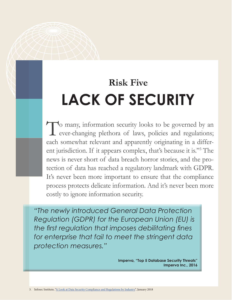### **Risk Five LACK OF SECURITY**

To many, information security looks to be governed by an ever-changing plethora of laws, policies and regulations; ever-changing plethora of laws, policies and regulations; each somewhat relevant and apparently originating in a different jurisdiction. If it appears complex, that's because it is."<sup>3</sup> The news is never short of data breach horror stories, and the protection of data has reached a regulatory landmark with GDPR. It's never been more important to ensure that the compliance process protects delicate information. And it's never been more costly to ignore information security.

*"The newly introduced General Data Protection Regulation (GDPR) for the European Union (EU) is the first regulation that imposes debilitating fines for enterprise that fail to meet the stringent data protection measures."*

> **Imperva, "Top 5 Database Security Threats" Imperva Inc., 2016**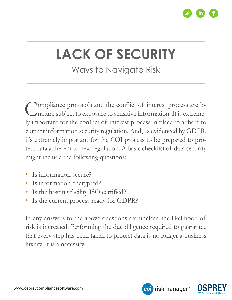

## **LACK OF SECURITY**

#### Ways to Navigate Risk

Compliance protocols and the conflict of interest process are by nature subject to exposure to sensitive information. It is extremenature subject to exposure to sensitive information. It is extremely important for the conflict of interest process in place to adhere to current information security regulation. And, as evidenced by GDPR, it's extremely important for the COI process to be prepared to protect data adherent to new regulation. A basic checklist of data security might include the following questions:

- Is information secure?
- Is information encrypted?
- Is the hosting facility ISO certified?
- Is the current process ready for GDPR?

If any answers to the above questions are unclear, the likelihood of risk is increased. Performing the due diligence required to guarantee that every step has been taken to protect data is no longer a business luxury; it is a necessity.

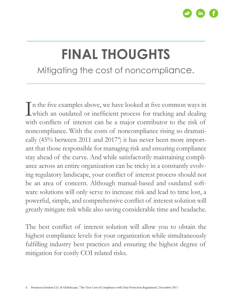

#### **FINAL THOUGHTS** Mitigating the cost of noncompliance.

In the five examples above, we have looked at five common ways in which an outdated or inefficient process for tracking and dealing which an outdated or inefficient process for tracking and dealing with conflicts of interest can be a major contributor to the risk of noncompliance. With the costs of noncompliance rising so dramatically (45% between 2011 and 2017<sup>4</sup>) it has never been more important that those responsible for managing risk and ensuring compliance stay ahead of the curve. And while satisfactorily maintaining compliance across an entire organization can be tricky in a constantly evolving regulatory landscape, your conflict of interest process should not be an area of concern. Although manual-based and outdated software solutions will only serve to increase risk and lead to time lost, a powerful, simple, and comprehensive conflict of interest solution will greatly mitigate risk while also saving considerable time and headache.

The best conflict of interest solution will allow you to obtain the highest compliance levels for your organization while simultaneously fulfilling industry best practices and ensuring the highest degree of mitigation for costly COI related risks.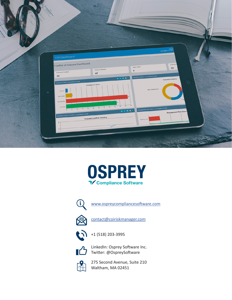





[www.ospreycompliancesoftware.com](http://www.ospreycompliancesoftware.com)



[contact@coiriskmanager.com](mailto:contact@coiriskmanager.com)



+1 (518) 203-3995



LinkedIn: Osprey Software Inc. Twitter: @OspreySoftware



275 Second Avenue, Suite 210 Waltham, MA 02451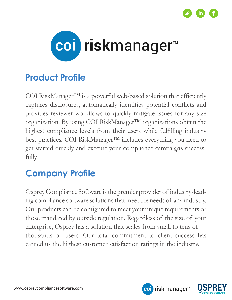



#### **Product Profile**

COI RiskManager™ is a powerful web-based solution that efficiently captures disclosures, automatically identifies potential conflicts and provides reviewer workflows to quickly mitigate issues for any size organization. By using COI RiskManager™ organizations obtain the highest compliance levels from their users while fulfilling industry best practices. COI RiskManager™ includes everything you need to get started quickly and execute your compliance campaigns successfully.

#### **Company Profile**

Osprey Compliance Software is the premier provider of industry-leading compliance software solutions that meet the needs of any industry. Our products can be configured to meet your unique requirements or those mandated by outside regulation. Regardless of the size of your enterprise, Osprey has a solution that scales from small to tens of thousands of users. Our total commitment to client success has earned us the highest customer satisfaction ratings in the industry.